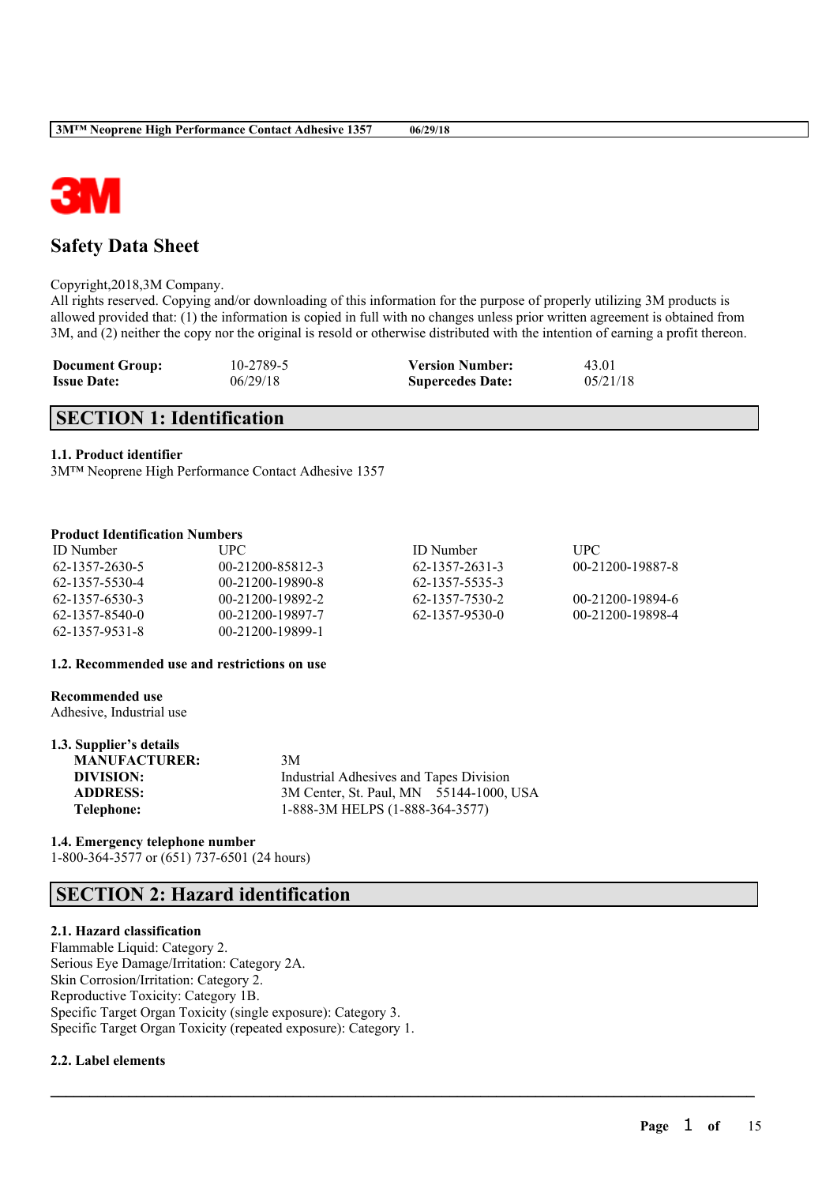

# **Safety Data Sheet**

Copyright,2018,3M Company.

All rights reserved. Copying and/or downloading of this information for the purpose of properly utilizing 3M products is allowed provided that: (1) the information is copied in full with no changes unless prior written agreement is obtained from 3M, and (2) neither the copy nor the original is resold or otherwise distributed with the intention of earning a profit thereon.

| <b>Document Group:</b> | 10-2789-5 | <b>Version Number:</b>  | 43.01    |
|------------------------|-----------|-------------------------|----------|
| <b>Issue Date:</b>     | 06/29/18  | <b>Supercedes Date:</b> | 05/21/18 |

# **SECTION 1: Identification**

### **1.1. Product identifier**

3M™ Neoprene High Performance Contact Adhesive 1357

### **Product Identification Numbers**

| <b>ID</b> Number | UPC.             | <b>ID</b> Number | <b>UPC</b>       |
|------------------|------------------|------------------|------------------|
| 62-1357-2630-5   | 00-21200-85812-3 | 62-1357-2631-3   | 00-21200-19887-8 |
| 62-1357-5530-4   | 00-21200-19890-8 | 62-1357-5535-3   |                  |
| 62-1357-6530-3   | 00-21200-19892-2 | 62-1357-7530-2   | 00-21200-19894-6 |
| 62-1357-8540-0   | 00-21200-19897-7 | 62-1357-9530-0   | 00-21200-19898-4 |
| 62-1357-9531-8   | 00-21200-19899-1 |                  |                  |

 $\mathcal{L}_\mathcal{L} = \mathcal{L}_\mathcal{L} = \mathcal{L}_\mathcal{L} = \mathcal{L}_\mathcal{L} = \mathcal{L}_\mathcal{L} = \mathcal{L}_\mathcal{L} = \mathcal{L}_\mathcal{L} = \mathcal{L}_\mathcal{L} = \mathcal{L}_\mathcal{L} = \mathcal{L}_\mathcal{L} = \mathcal{L}_\mathcal{L} = \mathcal{L}_\mathcal{L} = \mathcal{L}_\mathcal{L} = \mathcal{L}_\mathcal{L} = \mathcal{L}_\mathcal{L} = \mathcal{L}_\mathcal{L} = \mathcal{L}_\mathcal{L}$ 

#### **1.2. Recommended use and restrictions on use**

#### **Recommended use**

Adhesive, Industrial use

| 1.3. Supplier's details |                                         |
|-------------------------|-----------------------------------------|
| <b>MANUFACTURER:</b>    | 3M                                      |
| DIVISION:               | Industrial Adhesives and Tapes Division |
| <b>ADDRESS:</b>         | 3M Center, St. Paul, MN 55144-1000, USA |
| Telephone:              | 1-888-3M HELPS (1-888-364-3577)         |

#### **1.4. Emergency telephone number** 1-800-364-3577 or (651) 737-6501 (24 hours)

# **SECTION 2: Hazard identification**

## **2.1. Hazard classification**

Flammable Liquid: Category 2. Serious Eye Damage/Irritation: Category 2A. Skin Corrosion/Irritation: Category 2. Reproductive Toxicity: Category 1B. Specific Target Organ Toxicity (single exposure): Category 3. Specific Target Organ Toxicity (repeated exposure): Category 1.

### **2.2. Label elements**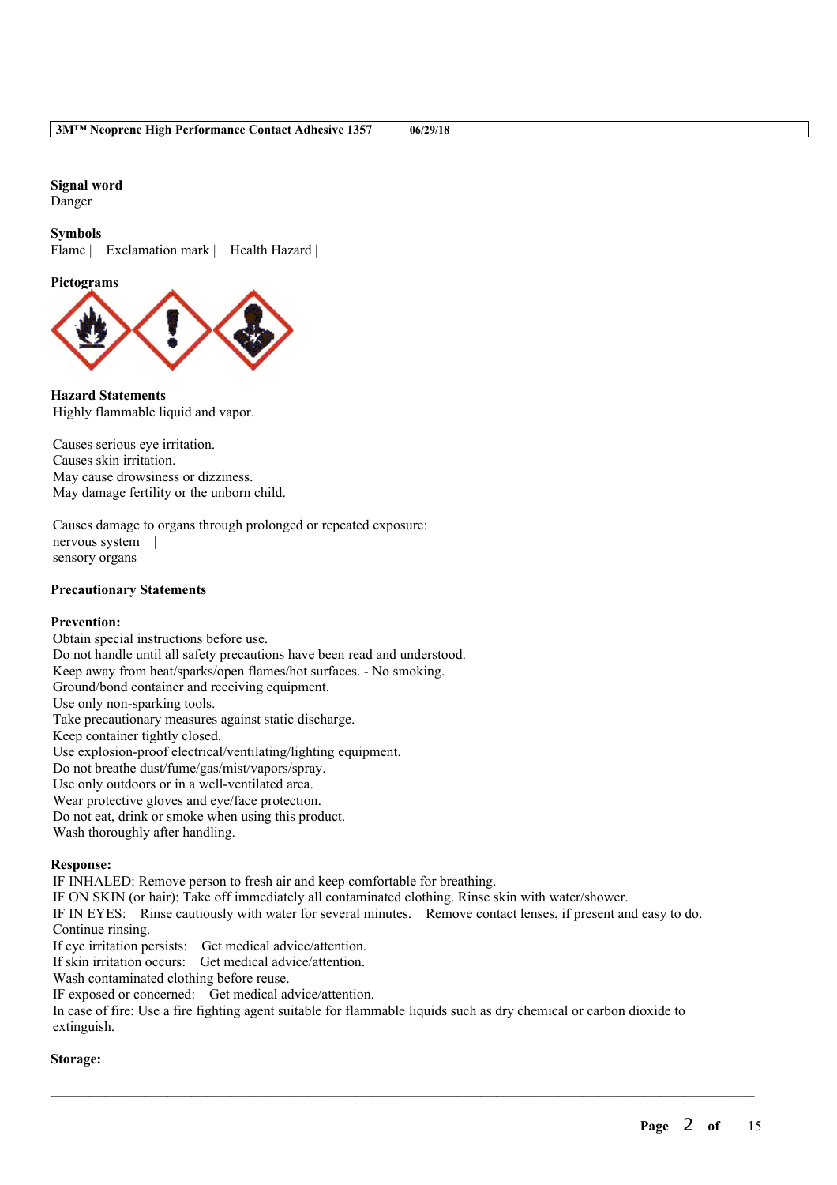# **Signal word**

Danger

### **Symbols**

Flame | Exclamation mark | Health Hazard |

## **Pictograms**



**Hazard Statements** Highly flammable liquid and vapor.

Causes serious eye irritation. Causes skin irritation. May cause drowsiness or dizziness. May damage fertility or the unborn child.

Causes damage to organs through prolonged or repeated exposure: nervous system | sensory organs |

### **Precautionary Statements**

## **Prevention:**

Obtain special instructions before use. Do not handle until all safety precautions have been read and understood. Keep away from heat/sparks/open flames/hot surfaces. - No smoking. Ground/bond container and receiving equipment. Use only non-sparking tools. Take precautionary measures against static discharge. Keep container tightly closed. Use explosion-proof electrical/ventilating/lighting equipment. Do not breathe dust/fume/gas/mist/vapors/spray. Use only outdoors or in a well-ventilated area. Wear protective gloves and eye/face protection. Do not eat, drink or smoke when using this product. Wash thoroughly after handling.

### **Response:**

IF INHALED: Remove person to fresh air and keep comfortable for breathing.

IF ON SKIN (or hair): Take off immediately all contaminated clothing. Rinse skin with water/shower.

IF IN EYES: Rinse cautiously with water for several minutes. Remove contact lenses, if present and easy to do. Continue rinsing.

If eye irritation persists: Get medical advice/attention.

If skin irritation occurs: Get medical advice/attention.

Wash contaminated clothing before reuse.

IF exposed or concerned: Get medical advice/attention.

In case of fire: Use a fire fighting agent suitable for flammable liquids such as dry chemical or carbon dioxide to extinguish.

 $\mathcal{L}_\mathcal{L} = \mathcal{L}_\mathcal{L} = \mathcal{L}_\mathcal{L} = \mathcal{L}_\mathcal{L} = \mathcal{L}_\mathcal{L} = \mathcal{L}_\mathcal{L} = \mathcal{L}_\mathcal{L} = \mathcal{L}_\mathcal{L} = \mathcal{L}_\mathcal{L} = \mathcal{L}_\mathcal{L} = \mathcal{L}_\mathcal{L} = \mathcal{L}_\mathcal{L} = \mathcal{L}_\mathcal{L} = \mathcal{L}_\mathcal{L} = \mathcal{L}_\mathcal{L} = \mathcal{L}_\mathcal{L} = \mathcal{L}_\mathcal{L}$ 

### **Storage:**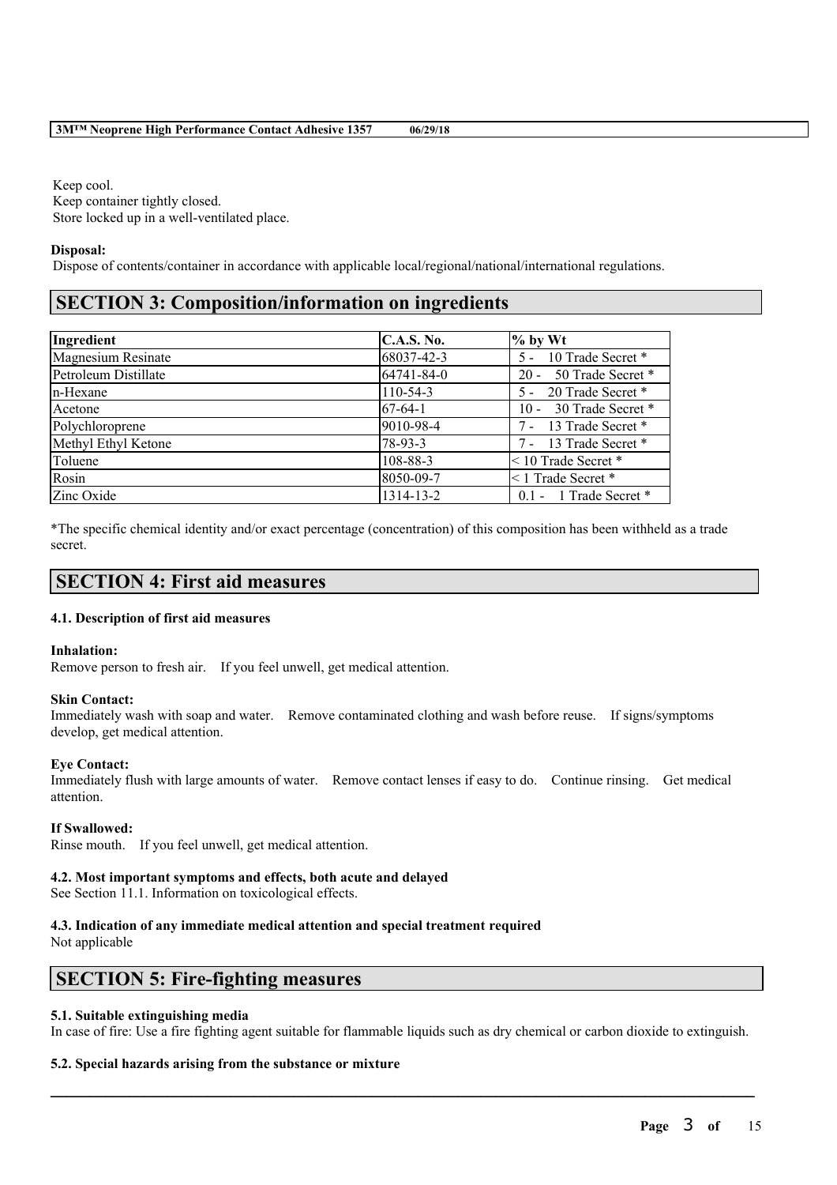Keep cool. Keep container tightly closed. Store locked up in a well-ventilated place.

### **Disposal:**

Dispose of contents/container in accordance with applicable local/regional/national/international regulations.

# **SECTION 3: Composition/information on ingredients**

| Ingredient                | <b>C.A.S. No.</b> | $%$ by Wt               |
|---------------------------|-------------------|-------------------------|
| <b>Magnesium Resinate</b> | 68037-42-3        | 5 - 10 Trade Secret *   |
| Petroleum Distillate      | 64741-84-0        | 20 - 50 Trade Secret *  |
| n-Hexane                  | $110 - 54 - 3$    | 5 - 20 Trade Secret *   |
| Acetone                   | $67-64-1$         | 10 - 30 Trade Secret *  |
| Polychloroprene           | 9010-98-4         | 7 - 13 Trade Secret *   |
| Methyl Ethyl Ketone       | 78-93-3           | 7 - 13 Trade Secret *   |
| Toluene                   | 108-88-3          | $<$ 10 Trade Secret $*$ |
| Rosin                     | 8050-09-7         | $\leq$ 1 Trade Secret * |
| Zinc Oxide                | 1314-13-2         | 0.1 - 1 Trade Secret *  |

\*The specific chemical identity and/or exact percentage (concentration) of this composition has been withheld as a trade secret.

# **SECTION 4: First aid measures**

### **4.1. Description of first aid measures**

### **Inhalation:**

Remove person to fresh air. If you feel unwell, get medical attention.

### **Skin Contact:**

Immediately wash with soap and water. Remove contaminated clothing and wash before reuse. If signs/symptoms develop, get medical attention.

### **Eye Contact:**

Immediately flush with large amounts of water. Remove contact lenses if easy to do. Continue rinsing. Get medical attention.

### **If Swallowed:**

Rinse mouth. If you feel unwell, get medical attention.

### **4.2. Most important symptoms and effects, both acute and delayed**

See Section 11.1. Information on toxicological effects.

## **4.3. Indication of any immediate medical attention and special treatment required**

Not applicable

# **SECTION 5: Fire-fighting measures**

### **5.1. Suitable extinguishing media**

In case of fire: Use a fire fighting agent suitable for flammable liquids such as dry chemical or carbon dioxide to extinguish.

 $\mathcal{L}_\mathcal{L} = \mathcal{L}_\mathcal{L} = \mathcal{L}_\mathcal{L} = \mathcal{L}_\mathcal{L} = \mathcal{L}_\mathcal{L} = \mathcal{L}_\mathcal{L} = \mathcal{L}_\mathcal{L} = \mathcal{L}_\mathcal{L} = \mathcal{L}_\mathcal{L} = \mathcal{L}_\mathcal{L} = \mathcal{L}_\mathcal{L} = \mathcal{L}_\mathcal{L} = \mathcal{L}_\mathcal{L} = \mathcal{L}_\mathcal{L} = \mathcal{L}_\mathcal{L} = \mathcal{L}_\mathcal{L} = \mathcal{L}_\mathcal{L}$ 

### **5.2. Special hazards arising from the substance or mixture**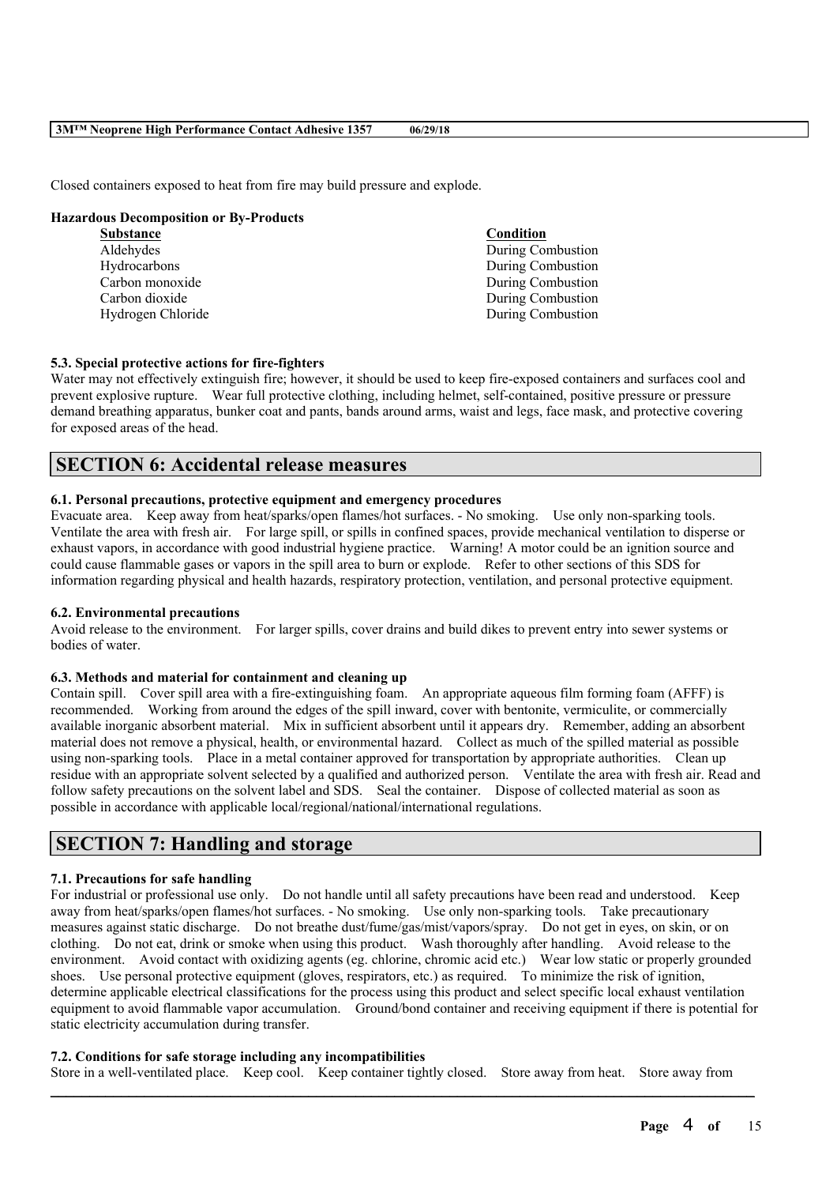Closed containers exposed to heat from fire may build pressure and explode.

### **Hazardous Decomposition or By-Products**

| <b>Substance</b>  | Condition         |
|-------------------|-------------------|
| Aldehydes         | During Combustion |
| Hydrocarbons      | During Combustion |
| Carbon monoxide   | During Combustion |
| Carbon dioxide    | During Combustion |
| Hydrogen Chloride | During Combustion |
|                   |                   |

### **5.3. Special protective actions for fire-fighters**

Water may not effectively extinguish fire; however, it should be used to keep fire-exposed containers and surfaces cool and prevent explosive rupture. Wear full protective clothing, including helmet, self-contained, positive pressure or pressure demand breathing apparatus, bunker coat and pants, bands around arms, waist and legs, face mask, and protective covering for exposed areas of the head.

# **SECTION 6: Accidental release measures**

### **6.1. Personal precautions, protective equipment and emergency procedures**

Evacuate area. Keep away from heat/sparks/open flames/hot surfaces. - No smoking. Use only non-sparking tools. Ventilate the area with fresh air. For large spill, or spills in confined spaces, provide mechanical ventilation to disperse or exhaust vapors, in accordance with good industrial hygiene practice. Warning! A motor could be an ignition source and could cause flammable gases or vapors in the spill area to burn or explode. Refer to other sections of this SDS for information regarding physical and health hazards, respiratory protection, ventilation, and personal protective equipment.

## **6.2. Environmental precautions**

Avoid release to the environment. For larger spills, cover drains and build dikes to prevent entry into sewer systems or bodies of water.

#### **6.3. Methods and material for containment and cleaning up**

Contain spill. Cover spill area with a fire-extinguishing foam. An appropriate aqueous film forming foam (AFFF) is recommended. Working from around the edges of the spill inward, cover with bentonite, vermiculite, or commercially available inorganic absorbent material. Mix in sufficient absorbent until it appears dry. Remember, adding an absorbent material does not remove a physical, health, or environmental hazard. Collect as much of the spilled material as possible using non-sparking tools. Place in a metal container approved for transportation by appropriate authorities. Clean up residue with an appropriate solvent selected by a qualified and authorized person. Ventilate the area with fresh air. Read and follow safety precautions on the solvent label and SDS. Seal the container. Dispose of collected material as soon as possible in accordance with applicable local/regional/national/international regulations.

# **SECTION 7: Handling and storage**

### **7.1. Precautions for safe handling**

For industrial or professional use only. Do not handle until all safety precautions have been read and understood. Keep away from heat/sparks/open flames/hot surfaces. - No smoking. Use only non-sparking tools. Take precautionary measures against static discharge. Do not breathe dust/fume/gas/mist/vapors/spray. Do not get in eyes, on skin, or on clothing. Do not eat, drink or smoke when using this product. Wash thoroughly after handling. Avoid release to the environment. Avoid contact with oxidizing agents (eg. chlorine, chromic acid etc.) Wear low static or properly grounded shoes. Use personal protective equipment (gloves, respirators, etc.) as required. To minimize the risk of ignition, determine applicable electrical classifications for the process using this product and select specific local exhaust ventilation equipment to avoid flammable vapor accumulation. Ground/bond container and receiving equipment if there is potential for static electricity accumulation during transfer.

### **7.2. Conditions for safe storage including any incompatibilities**

Store in a well-ventilated place. Keep cool. Keep container tightly closed. Store away from heat. Store away from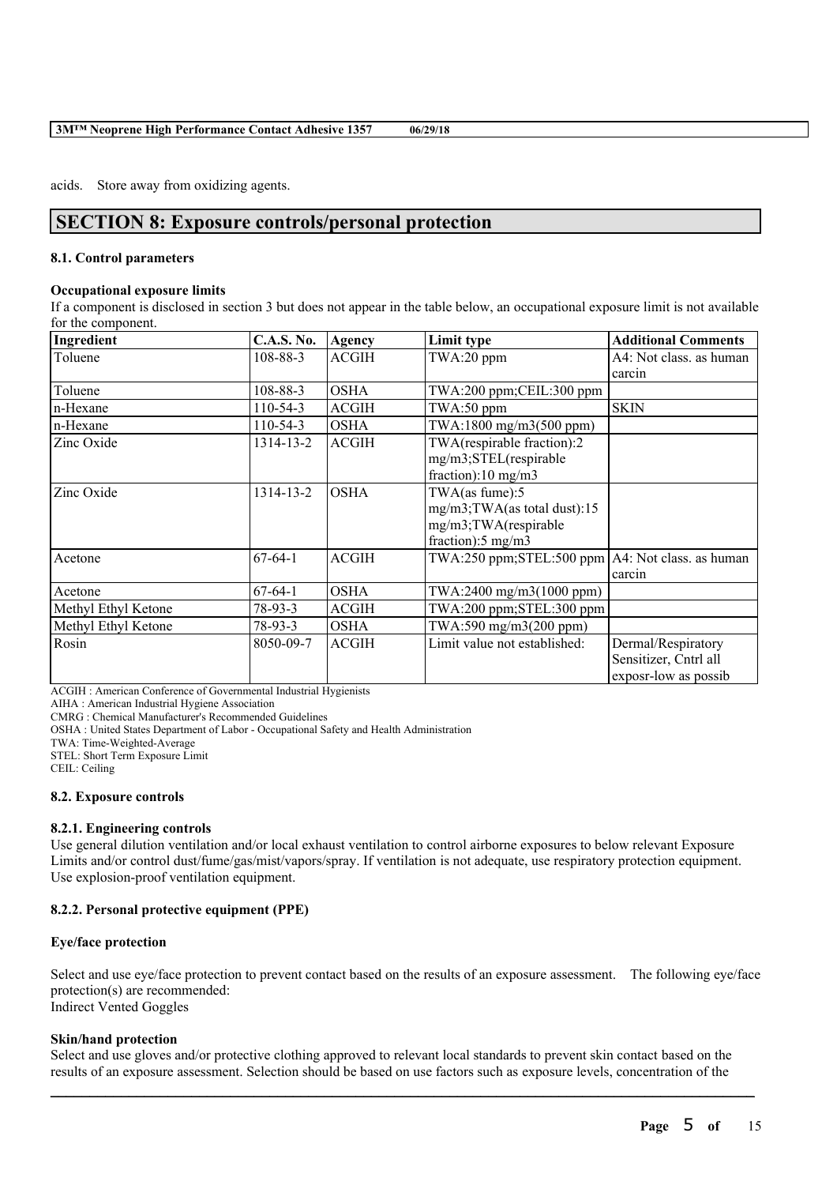acids. Store away from oxidizing agents.

# **SECTION 8: Exposure controls/personal protection**

### **8.1. Control parameters**

### **Occupational exposure limits**

If a component is disclosed in section 3 but does not appear in the table below, an occupational exposure limit is not available for the component.

| Ingredient          | <b>C.A.S. No.</b> | Agency       | Limit type                                         | <b>Additional Comments</b> |
|---------------------|-------------------|--------------|----------------------------------------------------|----------------------------|
| Toluene             | 108-88-3          | <b>ACGIH</b> | $TWA:20$ ppm                                       | A4: Not class, as human    |
|                     |                   |              |                                                    | carcin                     |
| Toluene             | 108-88-3          | <b>OSHA</b>  | TWA:200 ppm;CEIL:300 ppm                           |                            |
| n-Hexane            | $110-54-3$        | <b>ACGIH</b> | $TWA:50$ ppm                                       | <b>SKIN</b>                |
| n-Hexane            | $110-54-3$        | <b>OSHA</b>  | TWA:1800 mg/m3(500 ppm)                            |                            |
| Zinc Oxide          | 1314-13-2         | <b>ACGIH</b> | TWA(respirable fraction):2                         |                            |
|                     |                   |              | mg/m3;STEL(respirable                              |                            |
|                     |                   |              | fraction):10 mg/m3                                 |                            |
| Zinc Oxide          | 1314-13-2         | <b>OSHA</b>  | TWA(as fume):5                                     |                            |
|                     |                   |              | mg/m3;TWA(as total dust):15                        |                            |
|                     |                   |              | mg/m3;TWA(respirable                               |                            |
|                     |                   |              | fraction): $5 \text{ mg/m}$ 3                      |                            |
| Acetone             | $67-64-1$         | <b>ACGIH</b> | TWA:250 ppm;STEL:500 ppm   A4: Not class. as human |                            |
|                     |                   |              |                                                    | carcin                     |
| Acetone             | $67-64-1$         | <b>OSHA</b>  | TWA:2400 mg/m3(1000 ppm)                           |                            |
| Methyl Ethyl Ketone | $78-93-3$         | <b>ACGIH</b> | TWA:200 ppm;STEL:300 ppm                           |                            |
| Methyl Ethyl Ketone | 78-93-3           | <b>OSHA</b>  | TWA:590 mg/m3(200 ppm)                             |                            |
| Rosin               | 8050-09-7         | <b>ACGIH</b> | Limit value not established:                       | Dermal/Respiratory         |
|                     |                   |              |                                                    | Sensitizer, Cntrl all      |
|                     |                   |              |                                                    | exposr-low as possib       |

ACGIH : American Conference of Governmental Industrial Hygienists

AIHA : American Industrial Hygiene Association

CMRG : Chemical Manufacturer's Recommended Guidelines

OSHA : United States Department of Labor - Occupational Safety and Health Administration

TWA: Time-Weighted-Average

STEL: Short Term Exposure Limit

CEIL: Ceiling

#### **8.2. Exposure controls**

### **8.2.1. Engineering controls**

Use general dilution ventilation and/or local exhaust ventilation to control airborne exposures to below relevant Exposure Limits and/or control dust/fume/gas/mist/vapors/spray. If ventilation is not adequate, use respiratory protection equipment. Use explosion-proof ventilation equipment.

### **8.2.2. Personal protective equipment (PPE)**

### **Eye/face protection**

Select and use eye/face protection to prevent contact based on the results of an exposure assessment. The following eye/face protection(s) are recommended: Indirect Vented Goggles

### **Skin/hand protection**

Select and use gloves and/or protective clothing approved to relevant local standards to prevent skin contact based on the results of an exposure assessment. Selection should be based on use factors such as exposure levels, concentration of the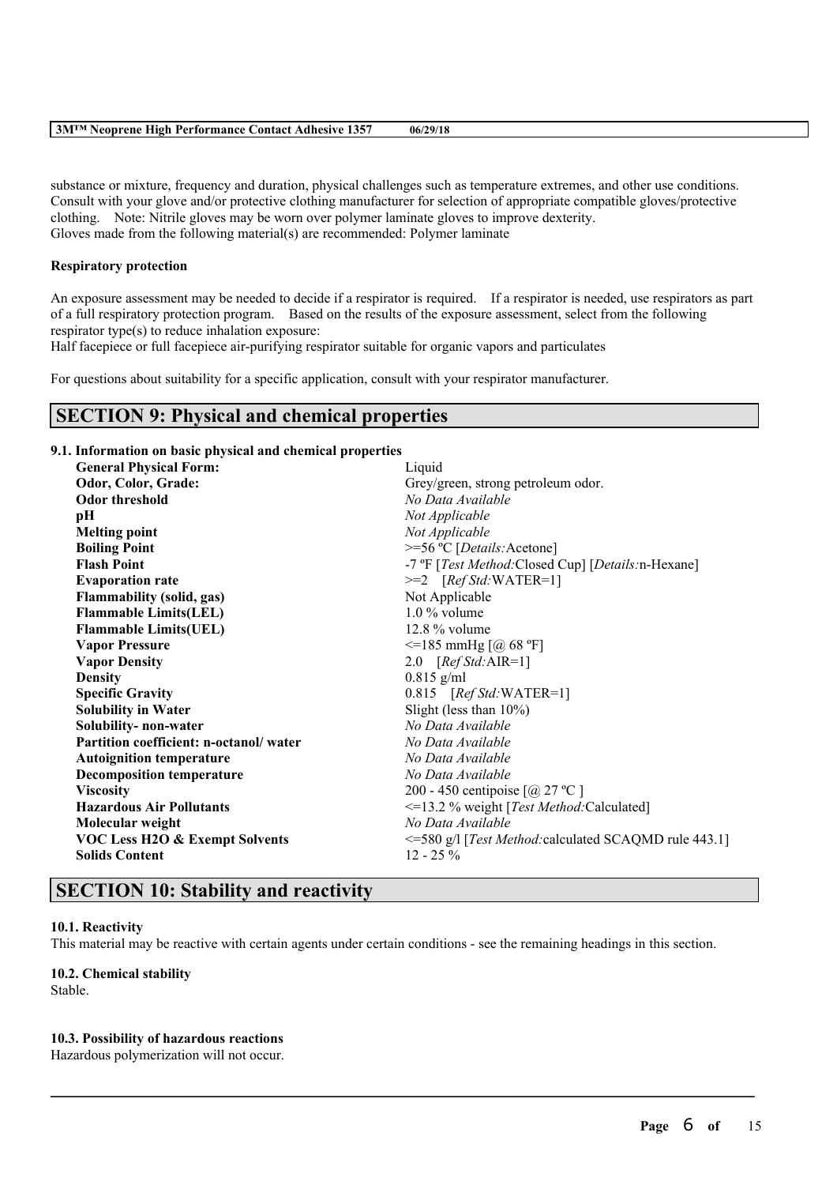| <b>3MTM Neoprene High Performance Contact Adhesive 1357</b> | 06/29/18 |
|-------------------------------------------------------------|----------|
|-------------------------------------------------------------|----------|

substance or mixture, frequency and duration, physical challenges such as temperature extremes, and other use conditions. Consult with your glove and/or protective clothing manufacturer for selection of appropriate compatible gloves/protective clothing. Note: Nitrile gloves may be worn over polymer laminate gloves to improve dexterity. Gloves made from the following material(s) are recommended: Polymer laminate

### **Respiratory protection**

An exposure assessment may be needed to decide if a respirator is required. If a respirator is needed, use respirators as part of a full respiratory protection program. Based on the results of the exposure assessment, select from the following respirator type(s) to reduce inhalation exposure:

Half facepiece or full facepiece air-purifying respirator suitable for organic vapors and particulates

For questions about suitability for a specific application, consult with your respirator manufacturer.

# **SECTION 9: Physical and chemical properties**

### **9.1. Information on basic physical and chemical properties**

| <b>General Physical Form:</b>             | Liquid                                                    |
|-------------------------------------------|-----------------------------------------------------------|
| Odor, Color, Grade:                       | Grey/green, strong petroleum odor.                        |
| <b>Odor threshold</b>                     | No Data Available                                         |
| pН                                        | Not Applicable                                            |
| <b>Melting point</b>                      | Not Applicable                                            |
| <b>Boiling Point</b>                      | >=56 °C [Details: Acetone]                                |
| <b>Flash Point</b>                        | -7 °F [Test Method: Closed Cup] [Details: n-Hexane]       |
| <b>Evaporation rate</b>                   | $>=2$ [Ref Std:WATER=1]                                   |
| <b>Flammability (solid, gas)</b>          | Not Applicable                                            |
| <b>Flammable Limits(LEL)</b>              | $1.0\%$ volume                                            |
| <b>Flammable Limits(UEL)</b>              | $12.8\%$ volume                                           |
| <b>Vapor Pressure</b>                     | $\le$ =185 mmHg [@ 68 °F]                                 |
| <b>Vapor Density</b>                      | 2.0 $[RefStd:AIR=1]$                                      |
| <b>Density</b>                            | $0.815$ g/ml                                              |
| <b>Specific Gravity</b>                   | $0.815$ [Ref Std: WATER=1]                                |
| <b>Solubility in Water</b>                | Slight (less than $10\%$ )                                |
| Solubility- non-water                     | No Data Available                                         |
| Partition coefficient: n-octanol/water    | No Data Available                                         |
| <b>Autoignition temperature</b>           | No Data Available                                         |
| <b>Decomposition temperature</b>          | No Data Available                                         |
| <b>Viscosity</b>                          | 200 - 450 centipoise $\lceil$ ( <i>a</i> ) 27 °C $\rceil$ |
| <b>Hazardous Air Pollutants</b>           | <=13.2 % weight [Test Method:Calculated]                  |
| Molecular weight                          | No Data Available                                         |
| <b>VOC Less H2O &amp; Exempt Solvents</b> | <= 580 g/l [Test Method: calculated SCAQMD rule 443.1]    |
| <b>Solids Content</b>                     | $12 - 25\%$                                               |
|                                           |                                                           |

# **SECTION 10: Stability and reactivity**

#### **10.1. Reactivity**

This material may be reactive with certain agents under certain conditions - see the remaining headings in this section.

 $\mathcal{L}_\mathcal{L} = \mathcal{L}_\mathcal{L} = \mathcal{L}_\mathcal{L} = \mathcal{L}_\mathcal{L} = \mathcal{L}_\mathcal{L} = \mathcal{L}_\mathcal{L} = \mathcal{L}_\mathcal{L} = \mathcal{L}_\mathcal{L} = \mathcal{L}_\mathcal{L} = \mathcal{L}_\mathcal{L} = \mathcal{L}_\mathcal{L} = \mathcal{L}_\mathcal{L} = \mathcal{L}_\mathcal{L} = \mathcal{L}_\mathcal{L} = \mathcal{L}_\mathcal{L} = \mathcal{L}_\mathcal{L} = \mathcal{L}_\mathcal{L}$ 

# **10.2. Chemical stability**

Stable.

### **10.3. Possibility of hazardous reactions**

Hazardous polymerization will not occur.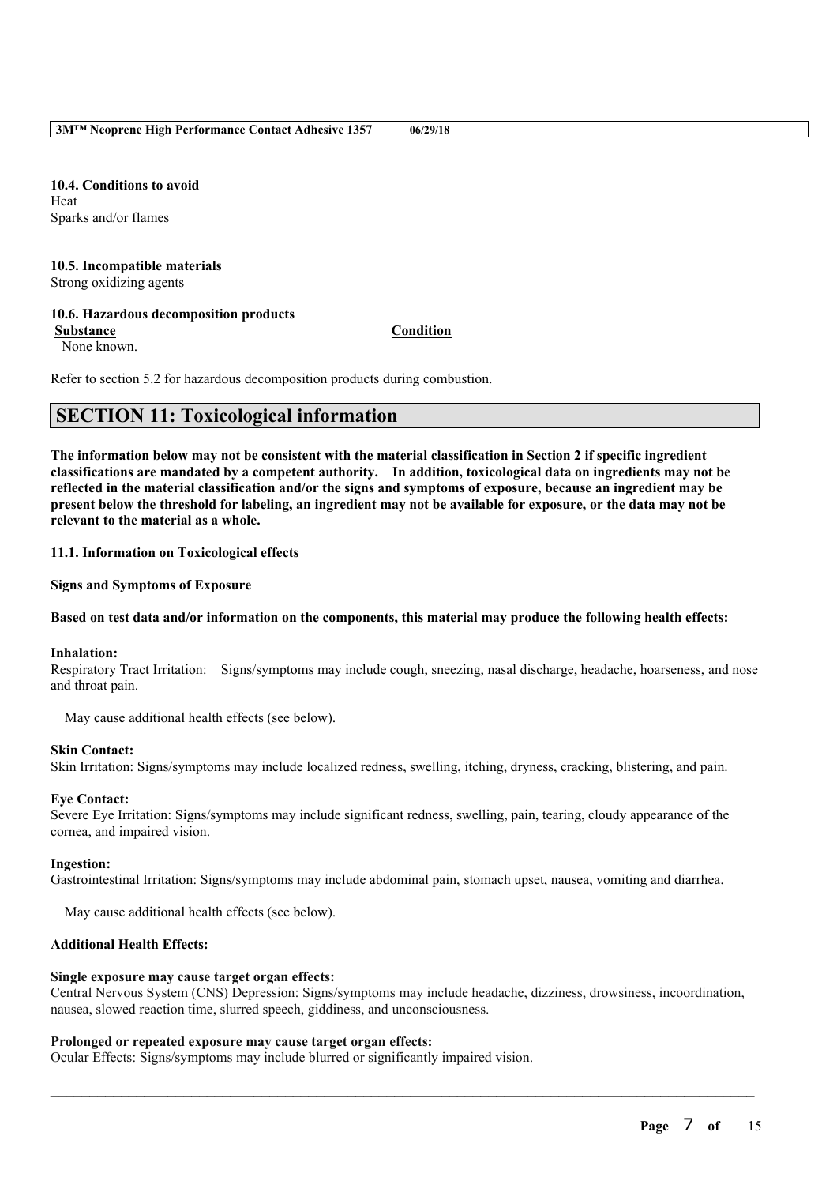**10.4. Conditions to avoid** Heat Sparks and/or flames

# **10.5. Incompatible materials**

Strong oxidizing agents

## **10.6. Hazardous decomposition products**

**Substance Condition**

None known.

Refer to section 5.2 for hazardous decomposition products during combustion.

# **SECTION 11: Toxicological information**

The information below may not be consistent with the material classification in Section 2 if specific ingredient **classifications are mandated by a competent authority. In addition, toxicological data on ingredients may not be** reflected in the material classification and/or the signs and symptoms of exposure, because an ingredient may be present below the threshold for labeling, an ingredient may not be available for exposure, or the data may not be **relevant to the material as a whole.**

### **11.1. Information on Toxicological effects**

**Signs and Symptoms of Exposure**

### Based on test data and/or information on the components, this material may produce the following health effects:

### **Inhalation:**

Respiratory Tract Irritation: Signs/symptoms may include cough, sneezing, nasal discharge, headache, hoarseness, and nose and throat pain.

May cause additional health effects (see below).

### **Skin Contact:**

Skin Irritation: Signs/symptoms may include localized redness, swelling, itching, dryness, cracking, blistering, and pain.

### **Eye Contact:**

Severe Eye Irritation: Signs/symptoms may include significant redness, swelling, pain, tearing, cloudy appearance of the cornea, and impaired vision.

### **Ingestion:**

Gastrointestinal Irritation: Signs/symptoms may include abdominal pain, stomach upset, nausea, vomiting and diarrhea.

May cause additional health effects (see below).

### **Additional Health Effects:**

### **Single exposure may cause target organ effects:**

Central Nervous System (CNS) Depression: Signs/symptoms may include headache, dizziness, drowsiness, incoordination, nausea, slowed reaction time, slurred speech, giddiness, and unconsciousness.

 $\mathcal{L}_\mathcal{L} = \mathcal{L}_\mathcal{L} = \mathcal{L}_\mathcal{L} = \mathcal{L}_\mathcal{L} = \mathcal{L}_\mathcal{L} = \mathcal{L}_\mathcal{L} = \mathcal{L}_\mathcal{L} = \mathcal{L}_\mathcal{L} = \mathcal{L}_\mathcal{L} = \mathcal{L}_\mathcal{L} = \mathcal{L}_\mathcal{L} = \mathcal{L}_\mathcal{L} = \mathcal{L}_\mathcal{L} = \mathcal{L}_\mathcal{L} = \mathcal{L}_\mathcal{L} = \mathcal{L}_\mathcal{L} = \mathcal{L}_\mathcal{L}$ 

### **Prolonged or repeated exposure may cause target organ effects:**

Ocular Effects: Signs/symptoms may include blurred or significantly impaired vision.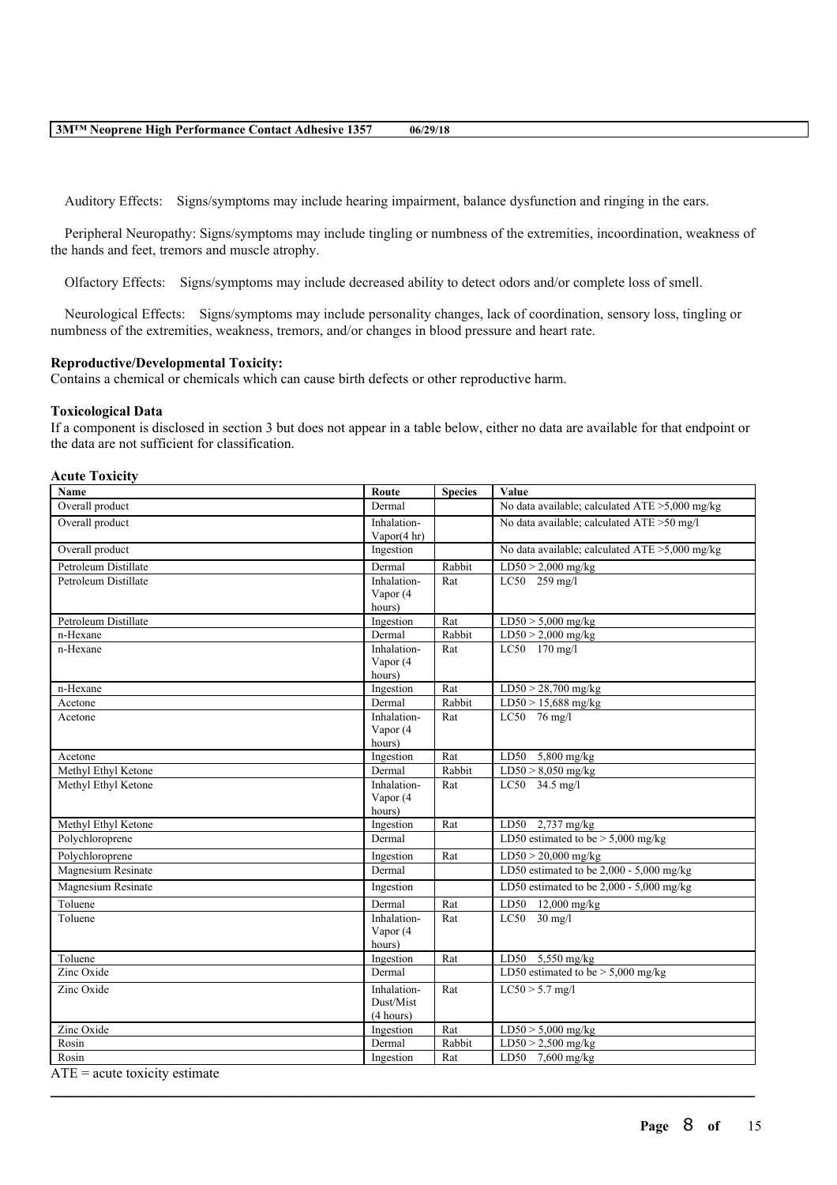Auditory Effects: Signs/symptoms may include hearing impairment, balance dysfunction and ringing in the ears.

Peripheral Neuropathy: Signs/symptoms may include tingling or numbness of the extremities, incoordination, weakness of the hands and feet, tremors and muscle atrophy.

Olfactory Effects: Signs/symptoms may include decreased ability to detect odors and/or complete loss of smell.

Neurological Effects: Signs/symptoms may include personality changes, lack of coordination, sensory loss, tingling or numbness of the extremities, weakness, tremors, and/or changes in blood pressure and heart rate.

### **Reproductive/Developmental Toxicity:**

Contains a chemical or chemicals which can cause birth defects or other reproductive harm.

### **Toxicological Data**

If a component is disclosed in section 3 but does not appear in a table below, either no data are available for that endpoint or the data are not sufficient for classification.

#### **Acute Toxicity**

| Name                                  | Route                         | <b>Species</b> | Value                                                      |
|---------------------------------------|-------------------------------|----------------|------------------------------------------------------------|
| Overall product                       | Dermal                        |                | No data available; calculated $ATE > 5,000$ mg/kg          |
| Overall product                       | Inhalation-<br>Vapor $(4 hr)$ |                | No data available; calculated ATE >50 mg/l                 |
| Overall product                       | Ingestion                     |                | No data available; calculated ATE >5,000 mg/kg             |
| Petroleum Distillate                  | Dermal                        | Rabbit         | $LD50 > 2,000$ mg/kg                                       |
| Petroleum Distillate                  | Inhalation-<br>Vapor (4       | Rat            | LC50 259 mg/l                                              |
|                                       | hours)                        |                |                                                            |
| Petroleum Distillate                  | Ingestion                     | Rat            | $LD50 > 5,000$ mg/kg                                       |
| n-Hexane                              | Dermal                        | Rabbit         | $LD50 > 2,000$ mg/kg                                       |
| n-Hexane                              | Inhalation-                   | Rat            | LC50 170 mg/l                                              |
|                                       | Vapor (4                      |                |                                                            |
|                                       | hours)                        |                |                                                            |
| n-Hexane                              | Ingestion                     | Rat            | $LD50 > 28,700$ mg/kg                                      |
| Acetone                               | Dermal                        | Rabbit         | $LD50 > 15,688$ mg/kg                                      |
| Acetone                               | Inhalation-                   | Rat            | $LC50$ 76 mg/l                                             |
|                                       | Vapor (4                      |                |                                                            |
|                                       | hours)                        |                |                                                            |
| Acetone                               | Ingestion                     | Rat            | LD50 5,800 mg/kg                                           |
| Methyl Ethyl Ketone                   | Dermal                        | Rabbit         | $LD50 > 8,050$ mg/kg                                       |
| Methyl Ethyl Ketone                   | Inhalation-                   | Rat            | LC50 34.5 mg/l                                             |
|                                       | Vapor (4                      |                |                                                            |
| Methyl Ethyl Ketone                   | hours)                        | Rat            |                                                            |
| Polychloroprene                       | Ingestion<br>Dermal           |                | LD50 $2,737$ mg/kg<br>LD50 estimated to be $> 5,000$ mg/kg |
|                                       |                               |                |                                                            |
| Polychloroprene                       | Ingestion                     | Rat            | $LD50 > 20,000$ mg/kg                                      |
| Magnesium Resinate                    | Dermal                        |                | LD50 estimated to be $2,000 - 5,000$ mg/kg                 |
| Magnesium Resinate                    | Ingestion                     |                | LD50 estimated to be $2,000 - 5,000$ mg/kg                 |
| Toluene                               | Dermal                        | Rat            | LD50 12,000 mg/kg                                          |
| Toluene                               | Inhalation-                   | Rat            | $LC50$ 30 mg/l                                             |
|                                       | Vapor (4                      |                |                                                            |
|                                       | hours)                        |                |                                                            |
| Toluene                               | Ingestion                     | Rat            | LD50 5,550 mg/kg                                           |
| $\overline{\text{Zinc }\text{Oxide}}$ | Dermal                        |                | LD50 estimated to be $> 5,000$ mg/kg                       |
| Zinc Oxide                            | Inhalation-                   | Rat            | $LC50 > 5.7$ mg/l                                          |
|                                       | Dust/Mist                     |                |                                                            |
|                                       | (4 hours)                     |                |                                                            |
| Zinc Oxide                            | Ingestion                     | Rat            | $LD50 > 5,000$ mg/kg                                       |
| Rosin                                 | Dermal                        | Rabbit         | $LD50 > 2,500$ mg/kg                                       |
| Rosin                                 | Ingestion                     | Rat            | LD50 7,600 mg/kg                                           |

 $\mathcal{L}_\mathcal{L} = \mathcal{L}_\mathcal{L} = \mathcal{L}_\mathcal{L} = \mathcal{L}_\mathcal{L} = \mathcal{L}_\mathcal{L} = \mathcal{L}_\mathcal{L} = \mathcal{L}_\mathcal{L} = \mathcal{L}_\mathcal{L} = \mathcal{L}_\mathcal{L} = \mathcal{L}_\mathcal{L} = \mathcal{L}_\mathcal{L} = \mathcal{L}_\mathcal{L} = \mathcal{L}_\mathcal{L} = \mathcal{L}_\mathcal{L} = \mathcal{L}_\mathcal{L} = \mathcal{L}_\mathcal{L} = \mathcal{L}_\mathcal{L}$ 

 $ATE = acute$  toxicity estimate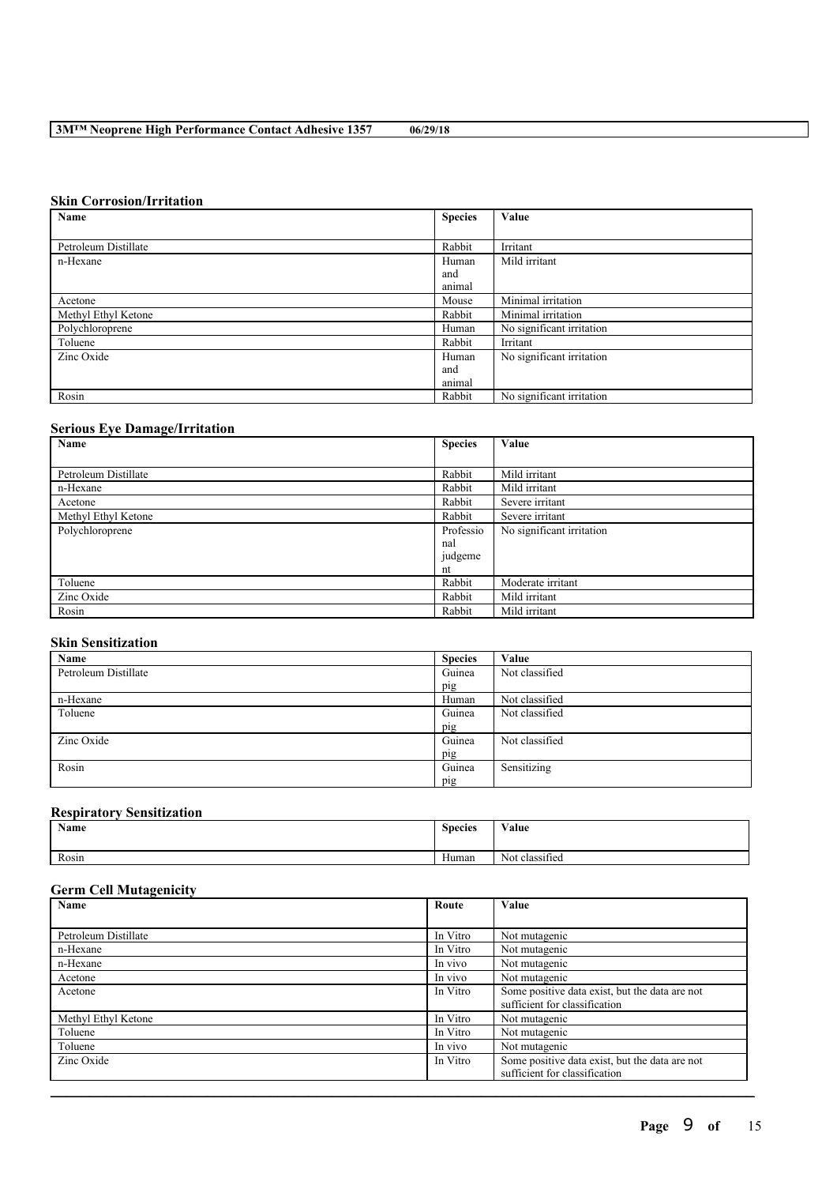## **Skin Corrosion/Irritation**

| Name                 | <b>Species</b> | Value                     |
|----------------------|----------------|---------------------------|
|                      |                |                           |
| Petroleum Distillate | Rabbit         | Irritant                  |
| n-Hexane             | Human          | Mild irritant             |
|                      | and            |                           |
|                      | animal         |                           |
| Acetone              | Mouse          | Minimal irritation        |
| Methyl Ethyl Ketone  | Rabbit         | Minimal irritation        |
| Polychloroprene      | Human          | No significant irritation |
| Toluene              | Rabbit         | Irritant                  |
| Zinc Oxide           | Human          | No significant irritation |
|                      | and            |                           |
|                      | animal         |                           |
| Rosin                | Rabbit         | No significant irritation |

## **Serious Eye Damage/Irritation**

| Name                 | <b>Species</b> | Value                     |
|----------------------|----------------|---------------------------|
|                      |                |                           |
| Petroleum Distillate | Rabbit         | Mild irritant             |
| n-Hexane             | Rabbit         | Mild irritant             |
| Acetone              | Rabbit         | Severe irritant           |
| Methyl Ethyl Ketone  | Rabbit         | Severe irritant           |
| Polychloroprene      | Professio      | No significant irritation |
|                      | nal            |                           |
|                      | judgeme        |                           |
|                      | nt             |                           |
| Toluene              | Rabbit         | Moderate irritant         |
| Zinc Oxide           | Rabbit         | Mild irritant             |
| Rosin                | Rabbit         | Mild irritant             |

## **Skin Sensitization**

| Name                 | <b>Species</b> | Value          |
|----------------------|----------------|----------------|
| Petroleum Distillate | Guinea         | Not classified |
|                      | pig            |                |
| n-Hexane             | Human          | Not classified |
| Toluene              | Guinea         | Not classified |
|                      | pig            |                |
| Zinc Oxide           | Guinea         | Not classified |
|                      | pig            |                |
| Rosin                | Guinea         | Sensitizing    |
|                      | pig            |                |

## **Respiratory Sensitization**

| Name  | <b>Species</b> | Value                            |
|-------|----------------|----------------------------------|
| Rosin | Human          | $\cdot$ $\sim$<br>Not classified |

## **Germ Cell Mutagenicity**

| <b>Name</b><br>Value<br>Route |          |                                                                                 |  |
|-------------------------------|----------|---------------------------------------------------------------------------------|--|
|                               |          |                                                                                 |  |
| Petroleum Distillate          | In Vitro | Not mutagenic                                                                   |  |
| n-Hexane                      | In Vitro | Not mutagenic                                                                   |  |
| n-Hexane                      | In vivo  | Not mutagenic                                                                   |  |
| Acetone                       | In vivo  | Not mutagenic                                                                   |  |
| Acetone                       | In Vitro | Some positive data exist, but the data are not<br>sufficient for classification |  |
| Methyl Ethyl Ketone           | In Vitro | Not mutagenic                                                                   |  |
| Toluene                       | In Vitro | Not mutagenic                                                                   |  |
| Toluene                       | In vivo  | Not mutagenic                                                                   |  |
| Zinc Oxide                    | In Vitro | Some positive data exist, but the data are not<br>sufficient for classification |  |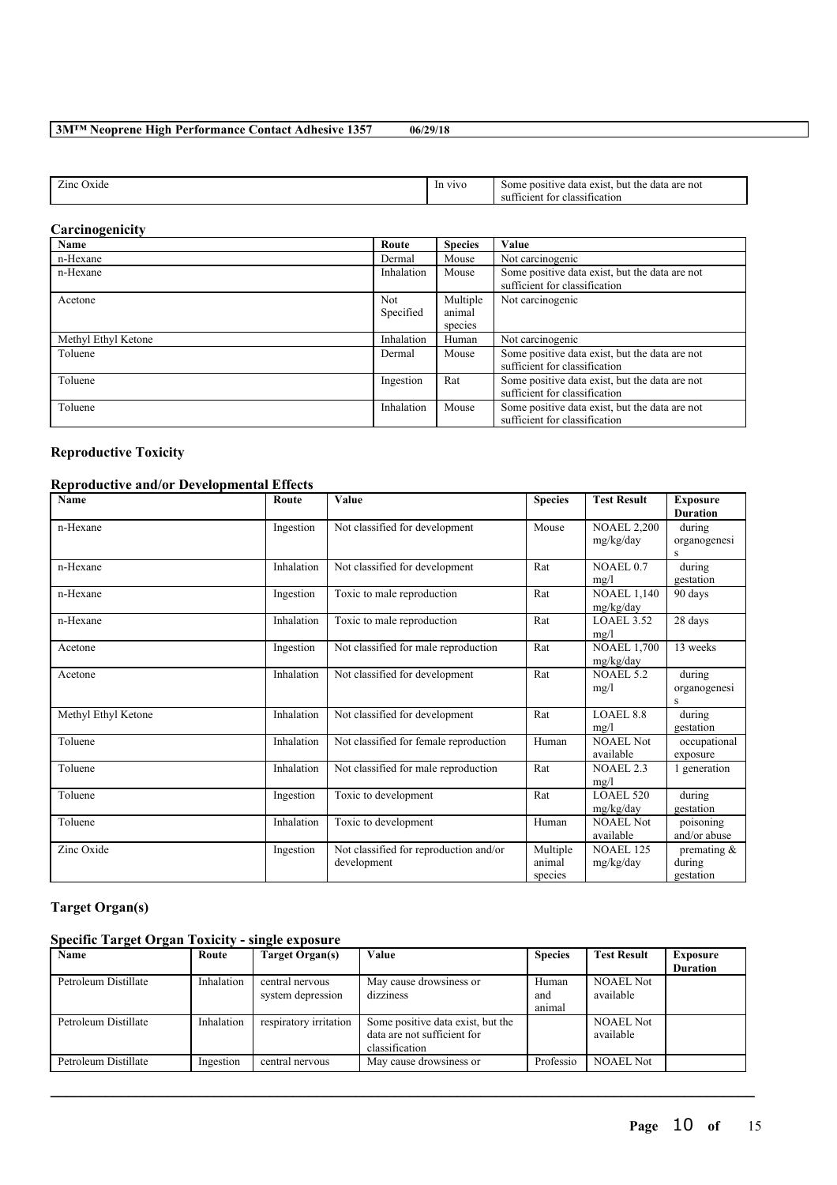| $\sim$<br>Zinc<br>' )xide | V <sub>1V</sub> | not<br>exist<br>a are<br>the.<br>data<br>but<br>data<br>some<br>DOSI<br>classification<br>tor<br><b>SID</b><br>$t$ <sub>101</sub> $e$ n |
|---------------------------|-----------------|-----------------------------------------------------------------------------------------------------------------------------------------|
|                           |                 |                                                                                                                                         |

## **Carcinogenicity**

 $\overline{\phantom{a}}$ 

| Name                | Route      | <b>Species</b> | Value                                          |
|---------------------|------------|----------------|------------------------------------------------|
| n-Hexane            | Dermal     | Mouse          | Not carcinogenic                               |
| n-Hexane            | Inhalation | Mouse          | Some positive data exist, but the data are not |
|                     |            |                | sufficient for classification                  |
| Acetone             | Not        | Multiple       | Not carcinogenic                               |
|                     | Specified  | animal         |                                                |
|                     |            | species        |                                                |
| Methyl Ethyl Ketone | Inhalation | Human          | Not carcinogenic                               |
| Toluene             | Dermal     | Mouse          | Some positive data exist, but the data are not |
|                     |            |                | sufficient for classification                  |
| Toluene             | Ingestion  | Rat            | Some positive data exist, but the data are not |
|                     |            |                | sufficient for classification                  |
| Toluene             | Inhalation | Mouse          | Some positive data exist, but the data are not |
|                     |            |                | sufficient for classification                  |

## **Reproductive Toxicity**

## **Reproductive and/or Developmental Effects**

| <b>Name</b>         | Route      | Value                                                 | <b>Species</b>                | <b>Test Result</b>              | <b>Exposure</b><br><b>Duration</b>    |
|---------------------|------------|-------------------------------------------------------|-------------------------------|---------------------------------|---------------------------------------|
| n-Hexane            | Ingestion  | Not classified for development                        | Mouse                         | <b>NOAEL 2,200</b><br>mg/kg/day | during<br>organogenesi<br>S           |
| n-Hexane            | Inhalation | Not classified for development                        | Rat                           | NOAEL 0.7<br>mg/l               | during<br>gestation                   |
| n-Hexane            | Ingestion  | Toxic to male reproduction                            | Rat                           | <b>NOAEL 1,140</b><br>mg/kg/day | 90 days                               |
| n-Hexane            | Inhalation | Toxic to male reproduction                            | Rat                           | LOAEL 3.52<br>mg/l              | 28 days                               |
| Acetone             | Ingestion  | Not classified for male reproduction                  | Rat                           | <b>NOAEL 1,700</b><br>mg/kg/day | 13 weeks                              |
| Acetone             | Inhalation | Not classified for development                        | Rat                           | <b>NOAEL 5.2</b><br>mg/l        | during<br>organogenesi<br>S           |
| Methyl Ethyl Ketone | Inhalation | Not classified for development                        | Rat                           | <b>LOAEL 8.8</b><br>mg/l        | during<br>gestation                   |
| Toluene             | Inhalation | Not classified for female reproduction                | Human                         | <b>NOAEL Not</b><br>available   | occupational<br>exposure              |
| Toluene             | Inhalation | Not classified for male reproduction                  | Rat                           | <b>NOAEL 2.3</b><br>mg/l        | 1 generation                          |
| Toluene             | Ingestion  | Toxic to development                                  | Rat                           | <b>LOAEL 520</b><br>mg/kg/day   | during<br>gestation                   |
| Toluene             | Inhalation | Toxic to development                                  | Human                         | NOAEL Not<br>available          | poisoning<br>and/or abuse             |
| Zinc Oxide          | Ingestion  | Not classified for reproduction and/or<br>development | Multiple<br>animal<br>species | <b>NOAEL 125</b><br>mg/kg/day   | premating $\&$<br>during<br>gestation |

# **Target Organ(s)**

## **Specific Target Organ Toxicity - single exposure**

| Name                 | Route      | Target Organ(s)        | Value                             | <b>Species</b> | <b>Test Result</b> | <b>Exposure</b> |
|----------------------|------------|------------------------|-----------------------------------|----------------|--------------------|-----------------|
|                      |            |                        |                                   |                |                    | <b>Duration</b> |
| Petroleum Distillate | Inhalation | central nervous        | May cause drowsiness or           | Human          | <b>NOAEL Not</b>   |                 |
|                      |            | system depression      | dizziness                         | and            | available          |                 |
|                      |            |                        |                                   | animal         |                    |                 |
| Petroleum Distillate | Inhalation | respiratory irritation | Some positive data exist, but the |                | <b>NOAEL Not</b>   |                 |
|                      |            |                        | data are not sufficient for       |                | available          |                 |
|                      |            |                        | classification                    |                |                    |                 |
| Petroleum Distillate | Ingestion  | central nervous        | May cause drowsiness or           | Professio      | <b>NOAEL Not</b>   |                 |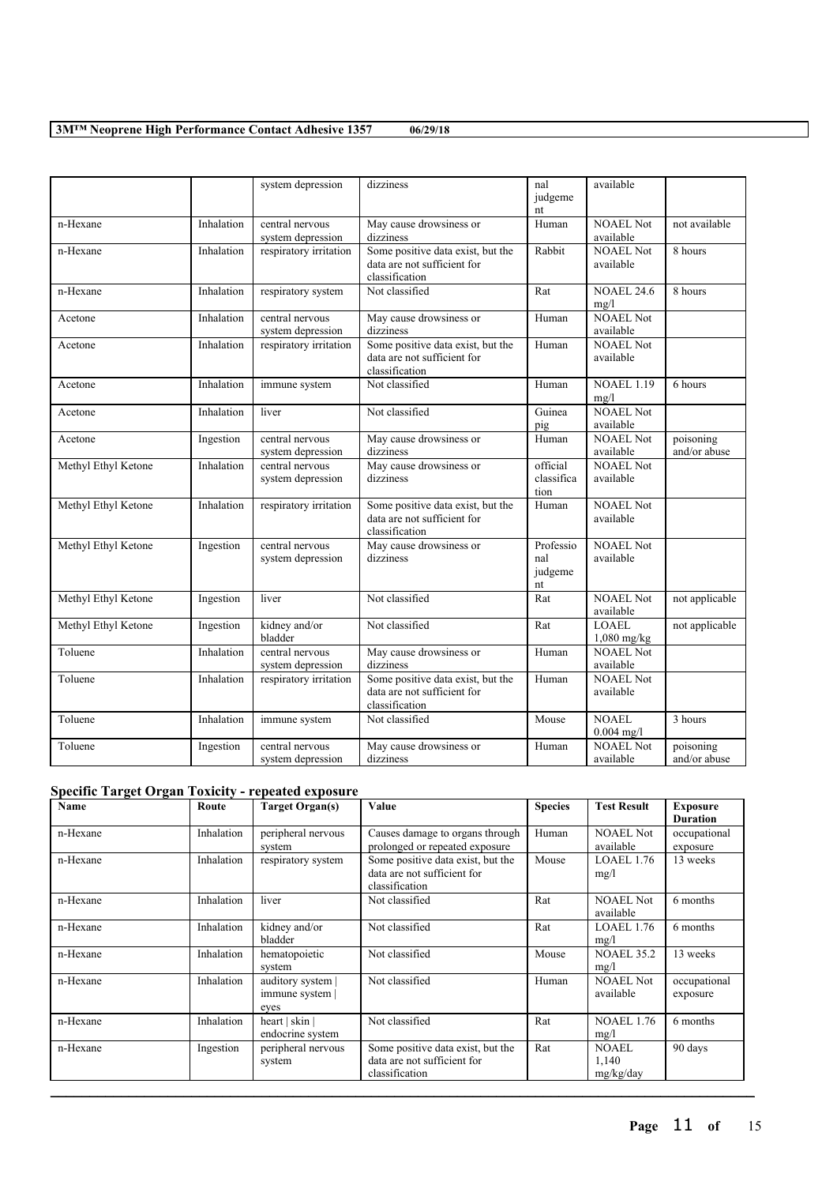|                     |            | system depression                    | dizziness                                                                          | nal<br>judgeme<br>nt              | available                     |                           |
|---------------------|------------|--------------------------------------|------------------------------------------------------------------------------------|-----------------------------------|-------------------------------|---------------------------|
| n-Hexane            | Inhalation | central nervous<br>system depression | May cause drowsiness or<br>dizziness                                               | Human                             | <b>NOAEL Not</b><br>available | not available             |
| n-Hexane            | Inhalation | respiratory irritation               | Some positive data exist, but the<br>data are not sufficient for<br>classification | Rabbit                            | <b>NOAEL Not</b><br>available | 8 hours                   |
| n-Hexane            | Inhalation | respiratory system                   | Not classified                                                                     | Rat                               | <b>NOAEL 24.6</b><br>mg/l     | 8 hours                   |
| Acetone             | Inhalation | central nervous<br>system depression | May cause drowsiness or<br>dizziness                                               | Human                             | <b>NOAEL Not</b><br>available |                           |
| Acetone             | Inhalation | respiratory irritation               | Some positive data exist, but the<br>data are not sufficient for<br>classification | Human                             | <b>NOAEL Not</b><br>available |                           |
| Acetone             | Inhalation | immune system                        | Not classified                                                                     | Human                             | <b>NOAEL 1.19</b><br>mg/l     | 6 hours                   |
| Acetone             | Inhalation | liver                                | Not classified                                                                     | Guinea<br>pig                     | <b>NOAEL Not</b><br>available |                           |
| Acetone             | Ingestion  | central nervous<br>system depression | May cause drowsiness or<br>dizziness                                               | Human                             | <b>NOAEL</b> Not<br>available | poisoning<br>and/or abuse |
| Methyl Ethyl Ketone | Inhalation | central nervous<br>system depression | May cause drowsiness or<br>dizziness                                               | official<br>classifica<br>tion    | <b>NOAEL Not</b><br>available |                           |
| Methyl Ethyl Ketone | Inhalation | respiratory irritation               | Some positive data exist, but the<br>data are not sufficient for<br>classification | Human                             | <b>NOAEL Not</b><br>available |                           |
| Methyl Ethyl Ketone | Ingestion  | central nervous<br>system depression | May cause drowsiness or<br>dizziness                                               | Professio<br>nal<br>judgeme<br>nt | <b>NOAEL Not</b><br>available |                           |
| Methyl Ethyl Ketone | Ingestion  | liver                                | Not classified                                                                     | Rat                               | NOAEL Not<br>available        | not applicable            |
| Methyl Ethyl Ketone | Ingestion  | kidney and/or<br>bladder             | Not classified                                                                     | Rat                               | <b>LOAEL</b><br>$1,080$ mg/kg | not applicable            |
| Toluene             | Inhalation | central nervous<br>system depression | May cause drowsiness or<br>dizziness                                               | Human                             | <b>NOAEL Not</b><br>available |                           |
| Toluene             | Inhalation | respiratory irritation               | Some positive data exist, but the<br>data are not sufficient for<br>classification | Human                             | <b>NOAEL Not</b><br>available |                           |
| Toluene             | Inhalation | immune system                        | Not classified                                                                     | Mouse                             | <b>NOAEL</b><br>$0.004$ mg/l  | 3 hours                   |
| Toluene             | Ingestion  | central nervous<br>system depression | May cause drowsiness or<br>dizziness                                               | Human                             | <b>NOAEL Not</b><br>available | poisoning<br>and/or abuse |

## **Specific Target Organ Toxicity - repeated exposure**

| Name     | Route      | Target Organ(s)                            | Value                                                                              | <b>Species</b> | <b>Test Result</b>                 | <b>Exposure</b><br><b>Duration</b> |
|----------|------------|--------------------------------------------|------------------------------------------------------------------------------------|----------------|------------------------------------|------------------------------------|
| n-Hexane | Inhalation | peripheral nervous<br>system               | Causes damage to organs through<br>prolonged or repeated exposure                  | Human          | <b>NOAEL Not</b><br>available      | occupational<br>exposure           |
| n-Hexane | Inhalation | respiratory system                         | Some positive data exist, but the<br>data are not sufficient for<br>classification | Mouse          | LOAEL 1.76<br>mg/l                 | 13 weeks                           |
| n-Hexane | Inhalation | liver                                      | Not classified                                                                     | Rat            | <b>NOAEL Not</b><br>available      | 6 months                           |
| n-Hexane | Inhalation | kidney and/or<br>bladder                   | Not classified                                                                     | Rat            | <b>LOAEL 1.76</b><br>mg/l          | 6 months                           |
| n-Hexane | Inhalation | hematopoietic<br>system                    | Not classified                                                                     | Mouse          | <b>NOAEL 35.2</b><br>mg/l          | 13 weeks                           |
| n-Hexane | Inhalation | auditory system<br>immune system  <br>eyes | Not classified                                                                     | Human          | NOAEL Not<br>available             | occupational<br>exposure           |
| n-Hexane | Inhalation | heart   skin  <br>endocrine system         | Not classified                                                                     | Rat            | <b>NOAEL 1.76</b><br>mg/l          | 6 months                           |
| n-Hexane | Ingestion  | peripheral nervous<br>system               | Some positive data exist, but the<br>data are not sufficient for<br>classification | Rat            | <b>NOAEL</b><br>1,140<br>mg/kg/day | 90 days                            |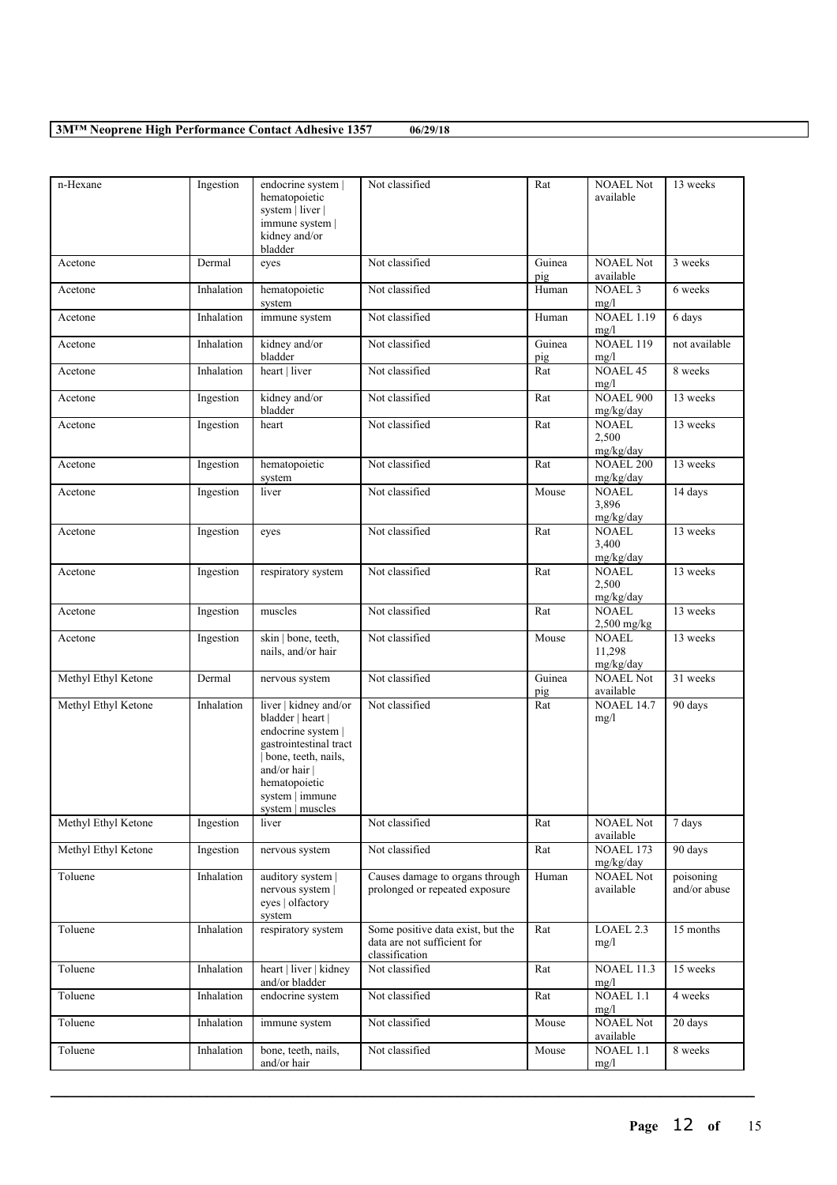| n-Hexane            | Ingestion  | endocrine system  <br>hematopoietic<br>system   liver  <br>immune system  <br>kidney and/or<br>bladder                                                                                   | Not classified                                                                     | Rat           | <b>NOAEL Not</b><br>available          | 13 weeks                  |
|---------------------|------------|------------------------------------------------------------------------------------------------------------------------------------------------------------------------------------------|------------------------------------------------------------------------------------|---------------|----------------------------------------|---------------------------|
| Acetone             | Dermal     | eyes                                                                                                                                                                                     | Not classified                                                                     | Guinea<br>pig | <b>NOAEL Not</b><br>available          | 3 weeks                   |
| Acetone             | Inhalation | hematopoietic<br>system                                                                                                                                                                  | Not classified                                                                     | Human         | <b>NOAEL 3</b><br>mg/l                 | 6 weeks                   |
| Acetone             | Inhalation | immune system                                                                                                                                                                            | Not classified                                                                     | Human         | <b>NOAEL 1.19</b><br>mg/l              | 6 days                    |
| Acetone             | Inhalation | kidney and/or<br>bladder                                                                                                                                                                 | Not classified                                                                     | Guinea<br>pig | <b>NOAEL 119</b><br>mg/l               | not available             |
| Acetone             | Inhalation | heart   liver                                                                                                                                                                            | Not classified                                                                     | Rat           | <b>NOAEL 45</b><br>mg/l                | 8 weeks                   |
| Acetone             | Ingestion  | kidney and/or<br>bladder                                                                                                                                                                 | Not classified                                                                     | Rat           | <b>NOAEL 900</b><br>mg/kg/day          | 13 weeks                  |
| Acetone             | Ingestion  | heart                                                                                                                                                                                    | Not classified                                                                     | Rat           | <b>NOAEL</b><br>2,500<br>mg/kg/day     | 13 weeks                  |
| Acetone             | Ingestion  | hematopoietic<br>system                                                                                                                                                                  | Not classified                                                                     | Rat           | <b>NOAEL 200</b><br>mg/kg/day          | 13 weeks                  |
| Acetone             | Ingestion  | liver                                                                                                                                                                                    | Not classified                                                                     | Mouse         | <b>NOAEL</b><br>3,896<br>mg/kg/day     | 14 days                   |
| Acetone             | Ingestion  | eyes                                                                                                                                                                                     | Not classified                                                                     | Rat           | <b>NOAEL</b><br>3,400<br>mg/kg/day     | 13 weeks                  |
| Acetone             | Ingestion  | respiratory system                                                                                                                                                                       | Not classified                                                                     | Rat           | <b>NOAEL</b><br>2,500<br>mg/kg/day     | 13 weeks                  |
| Acetone             | Ingestion  | muscles                                                                                                                                                                                  | Not classified                                                                     | Rat           | <b>NOAEL</b><br>$2,500$ mg/kg          | 13 weeks                  |
| Acetone             | Ingestion  | skin   bone, teeth,<br>nails, and/or hair                                                                                                                                                | Not classified                                                                     | Mouse         | <b>NOAEL</b><br>11,298<br>mg/kg/day    | 13 weeks                  |
| Methyl Ethyl Ketone | Dermal     | nervous system                                                                                                                                                                           | Not classified                                                                     | Guinea<br>pig | <b>NOAEL Not</b><br>available          | 31 weeks                  |
| Methyl Ethyl Ketone | Inhalation | liver   kidney and/or<br>bladder   heart  <br>endocrine system  <br>gastrointestinal tract<br>bone, teeth, nails,<br>and/or hair<br>hematopoietic<br>system   immune<br>system   muscles | Not classified                                                                     | Rat           | <b>NOAEL 14.7</b><br>mg/l              | 90 days                   |
| Methyl Ethyl Ketone | Ingestion  | liver                                                                                                                                                                                    | Not classified                                                                     | Rat           | <b>NOAEL Not</b><br>available          | 7 days                    |
| Methyl Ethyl Ketone | Ingestion  | nervous system                                                                                                                                                                           | Not classified                                                                     | Rat           | NOAEL 173<br>mg/kg/day                 | 90 days                   |
| Toluene             | Inhalation | auditory system<br>nervous system  <br>eyes   olfactory<br>system                                                                                                                        | Causes damage to organs through<br>prolonged or repeated exposure                  | Human         | <b>NOAEL Not</b><br>available          | poisoning<br>and/or abuse |
| Toluene             | Inhalation | respiratory system                                                                                                                                                                       | Some positive data exist, but the<br>data are not sufficient for<br>classification | Rat           | LOAEL 2.3<br>mg/l                      | 15 months                 |
| Toluene             | Inhalation | heart   liver   kidney<br>and/or bladder                                                                                                                                                 | Not classified                                                                     | Rat           | <b>NOAEL 11.3</b><br>mg/l              | 15 weeks                  |
| Toluene             | Inhalation | endocrine system                                                                                                                                                                         | Not classified                                                                     | Rat           | <b>NOAEL 1.1</b><br>mg/l               | 4 weeks                   |
| Toluene             | Inhalation | immune system                                                                                                                                                                            | Not classified                                                                     | Mouse         | <b>NOAEL Not</b><br>available          | 20 days                   |
| Toluene             | Inhalation | bone, teeth, nails,<br>and/or hair                                                                                                                                                       | Not classified                                                                     | Mouse         | $\overline{\text{NOA}}$ EL 1.1<br>mg/l | 8 weeks                   |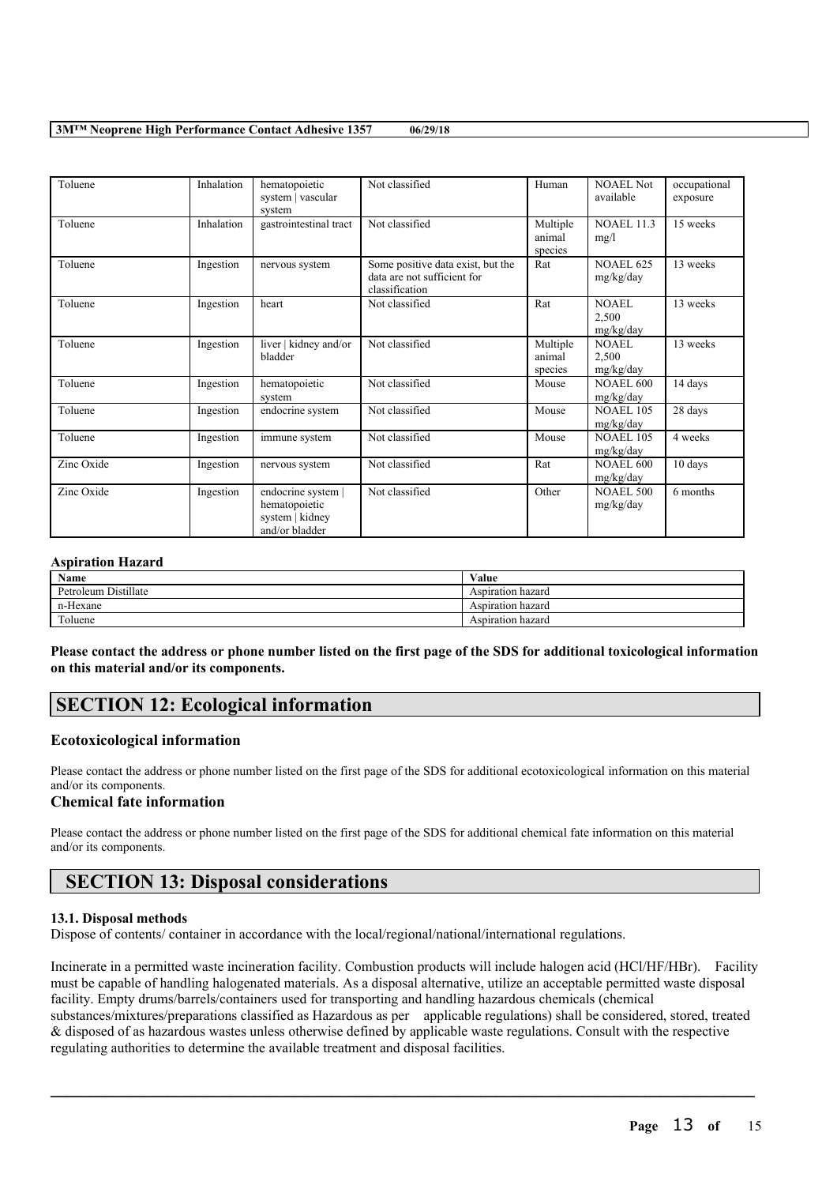| Toluene    | Inhalation | hematopoietic<br>system   vascular<br>system                             | Not classified                                                                     | Human                         | NOAEL Not<br>available             | occupational<br>exposure |
|------------|------------|--------------------------------------------------------------------------|------------------------------------------------------------------------------------|-------------------------------|------------------------------------|--------------------------|
| Toluene    | Inhalation | gastrointestinal tract                                                   | Not classified                                                                     | Multiple<br>animal<br>species | <b>NOAEL 11.3</b><br>mg/l          | 15 weeks                 |
| Toluene    | Ingestion  | nervous system                                                           | Some positive data exist, but the<br>data are not sufficient for<br>classification | Rat                           | <b>NOAEL 625</b><br>mg/kg/day      | 13 weeks                 |
| Toluene    | Ingestion  | heart                                                                    | Not classified                                                                     | Rat                           | <b>NOAEL</b><br>2,500<br>mg/kg/day | 13 weeks                 |
| Toluene    | Ingestion  | liver   kidney and/or<br>bladder                                         | Not classified                                                                     | Multiple<br>animal<br>species | <b>NOAEL</b><br>2,500<br>mg/kg/day | 13 weeks                 |
| Toluene    | Ingestion  | hematopoietic<br>system                                                  | Not classified                                                                     | Mouse                         | <b>NOAEL 600</b><br>mg/kg/day      | 14 days                  |
| Toluene    | Ingestion  | endocrine system                                                         | Not classified                                                                     | Mouse                         | <b>NOAEL 105</b><br>mg/kg/day      | 28 days                  |
| Toluene    | Ingestion  | immune system                                                            | Not classified                                                                     | Mouse                         | <b>NOAEL 105</b><br>mg/kg/day      | 4 weeks                  |
| Zinc Oxide | Ingestion  | nervous system                                                           | Not classified                                                                     | Rat                           | <b>NOAEL 600</b><br>mg/kg/day      | 10 days                  |
| Zinc Oxide | Ingestion  | endocrine system  <br>hematopoietic<br>system   kidney<br>and/or bladder | Not classified                                                                     | Other                         | <b>NOAEL 500</b><br>mg/kg/day      | 6 months                 |

#### **Aspiration Hazard**

| Name                 | Value             |
|----------------------|-------------------|
| Petroleum Distillate | Aspiration hazard |
| n-Hexane             | Aspiration hazard |
| Toluene              | Aspiration hazard |

Please contact the address or phone number listed on the first page of the SDS for additional toxicological information **on this material and/or its components.**

# **SECTION 12: Ecological information**

### **Ecotoxicological information**

Please contact the address or phone number listed on the first page of the SDS for additional ecotoxicological information on this material and/or its components.

## **Chemical fate information**

Please contact the address or phone number listed on the first page of the SDS for additional chemical fate information on this material and/or its components.

# **SECTION 13: Disposal considerations**

#### **13.1. Disposal methods**

Dispose of contents/ container in accordance with the local/regional/national/international regulations.

Incinerate in a permitted waste incineration facility. Combustion products will include halogen acid (HCl/HF/HBr). Facility must be capable of handling halogenated materials. As a disposal alternative, utilize an acceptable permitted waste disposal facility. Empty drums/barrels/containers used for transporting and handling hazardous chemicals (chemical substances/mixtures/preparations classified as Hazardous as per applicable regulations) shall be considered, stored, treated & disposed of as hazardous wastes unless otherwise defined by applicable waste regulations. Consult with the respective regulating authorities to determine the available treatment and disposal facilities.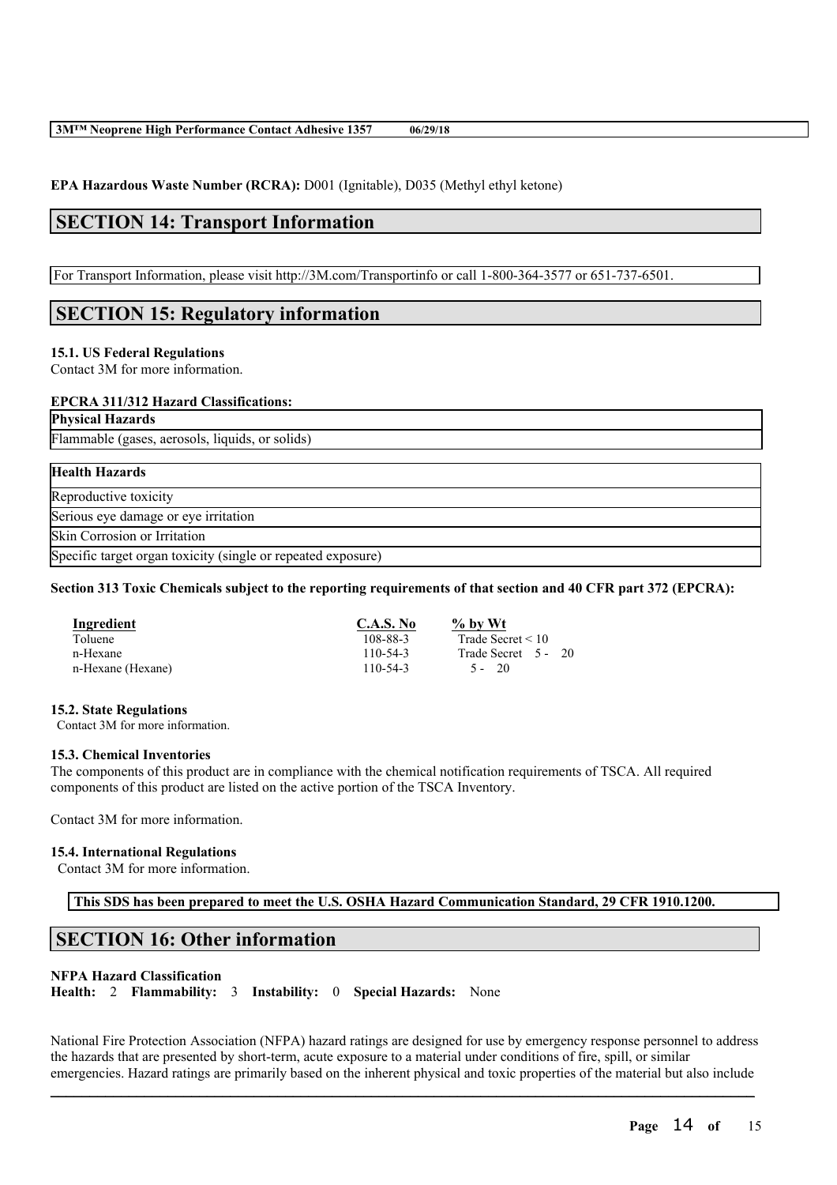**EPA Hazardous Waste Number (RCRA):** D001 (Ignitable), D035 (Methyl ethyl ketone)

# **SECTION 14: Transport Information**

For Transport Information, please visit http://3M.com/Transportinfo or call 1-800-364-3577 or 651-737-6501.

# **SECTION 15: Regulatory information**

### **15.1. US Federal Regulations**

Contact 3M for more information.

### **EPCRA 311/312 Hazard Classifications:**

**Physical Hazards**

Flammable (gases, aerosols, liquids, or solids)

| <b>Health Hazards</b>                                        |  |
|--------------------------------------------------------------|--|
| Reproductive toxicity                                        |  |
| Serious eye damage or eye irritation                         |  |
| Skin Corrosion or Irritation                                 |  |
| Specific target organ toxicity (single or repeated exposure) |  |

### Section 313 Toxic Chemicals subject to the reporting requirements of that section and 40 CFR part 372 (EPCRA):

| Ingredient        | C.A.S. No | $\%$ by Wt             |
|-------------------|-----------|------------------------|
| Toluene           | 108-88-3  | Trade Secret $\leq 10$ |
| n-Hexane          | 110-54-3  | Trade Secret 5 - 20    |
| n-Hexane (Hexane) | 110-54-3  | -20<br>$\sim$ $-$      |

#### **15.2. State Regulations**

Contact 3M for more information.

#### **15.3. Chemical Inventories**

The components of this product are in compliance with the chemical notification requirements of TSCA. All required components of this product are listed on the active portion of the TSCA Inventory.

Contact 3M for more information.

#### **15.4. International Regulations**

Contact 3M for more information.

**This SDS has been prepared to meet the U.S. OSHA Hazard Communication Standard, 29 CFR 1910.1200.**

# **SECTION 16: Other information**

## **NFPA Hazard Classification**

**Health:** 2 **Flammability:** 3 **Instability:** 0 **Special Hazards:** None

National Fire Protection Association (NFPA) hazard ratings are designed for use by emergency response personnel to address the hazards that are presented by short-term, acute exposure to a material under conditions of fire, spill, or similar emergencies. Hazard ratings are primarily based on the inherent physical and toxic properties of the material but also include